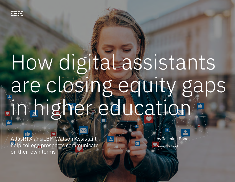# How digital assistants are closing equity gaps in higher education

 $\sqrt{2}$ 

 $A_{\text{max}}$  and IBM Watson Assistant help college prospects communicate prospects communicate on the intermolecular help college prospects communicate on the intermolecular help communicate on the intermolecular help commun

AtlasRTX and IBM Watson Assistant help college prospects communicate on their own terms

by Jasmine Bonds

5-minute read

 $\blacktriangleright$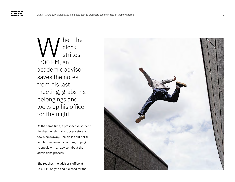hen the clock strikes 6:00 PM, an academic advisor saves the notes from his last meeting, grabs his belongings and locks up his office for the night. MRED Clock<br>
SETTIKES<br>
6:00 PM, an<br>
academic advisor<br>
saves the notes<br>
from his last<br>
meeting, grabs his<br>
belongings and<br>
locks up his office<br>
for the night.<br>
At the same time, a prospective stude<br>
finishes her shift at a g

At the same time, a prospective student finishes her shift at a grocery store a few blocks away. She closes out her till and hurries towards campus, hoping to speak with an advisor about the admissions process.

She reaches the advisor's office at

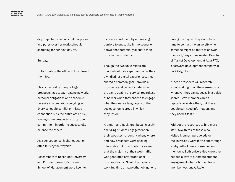day. Dejected, she pulls out her phone and pores over her work schedule, searching for her next day off.

### Sunday.

Unfortunately, the office will be closed then, too.

This is the reality many college prospects face today—balancing work, personal obligations and academic pursuits in a precarious juggling act. Every schedule conflict or missed connection puts the entire act at risk, forcing some prospects to drop one commitment in order to successfully balance the others.

As a consequence, higher education often falls by the wayside.

Researchers at Rockhurst University and Purdue University's Krannert School of Management were keen to increase enrollment by addressing barriers to entry, like in the scenario above, that potentially alienate their prospective students.

Though the two universities are hundreds of miles apart and offer their own distinct digital experiences, they shared a common goal—provide all prospects and current students with the same quality of service, regardless of how or when they choose to engage, what their native language is or the socioeconomic group in which they reside.

Krannert and Rockhurst began closely analyzing student engagement on their websites to identify when, where and how prospects were seeking information. Both schools discovered that the majority of their web traffic was generated after traditional business hours. "A lot of prospects work full time or have other obligations during the day, so they don't have time to contact the university when someone might be there to answer their call," says Chris Austin, Director of Market Development at AtlasRTX, a software development company in Park City, Utah.

"These prospects will research schools at night, on the weekends or whenever they can squeeze in a quick search. Staff members aren't typically available then, but these people still need information, and they need it fast."

Without the resources to hire more staff, two-thirds of those who visited krannert.purdue.edu or rockhurst.edu were left to sift through a labyrinth of new information on their own. Both universities knew they needed a way to automate student engagement when a human team member was unavailable.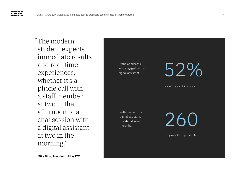The modern " student expects immediate results and real-time experiences, whether it's a phone call with a staff member at two in the afternoon or a chat session with a digital assistant at two in the morning."

**Mike Bills, President, AtlasRTX** 

Of the applicants who engaged with a digital assistant

52%

were accepted into Krannert

With the help of a digital assistant, Rockhurst saved more than

260

employee hours per month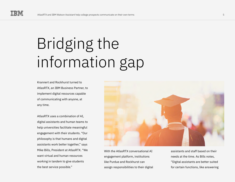### Bridging the information gap

Krannert and Rockhurst turned to AtlasRTX, an IBM Business Partner, to implement digital resources capable of communicating with anyone, at any time.

AtlasRTX uses a combination of AI, digital assistants and human teams to help universities facilitate meaningful engagement with their students. "Our philosophy is that humans and digital assistants work better together," says Mike Bills, President at AtlasRTX. "We want virtual and human resources working in tandem to give students the best service possible."



With the AtlasRTX conversational AI engagement platform, institutions like Purdue and Rockhurst can assign responsibilities to their digital

assistants and staff based on their needs at the time. As Bills notes, "Digital assistants are better suited for certain functions, like answering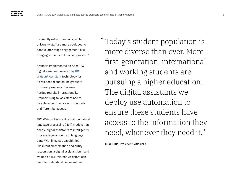frequently asked questions, while university staff are more equipped to handle later-stage engagement, like bringing students in for a campus visit."

Krannert implemented an AtlasRTX digital assistant powered by [IBM](https://www.ibm.com/products/watson-assistant)  [Watson® Assistant](https://www.ibm.com/products/watson-assistant) technology for its residential and online graduate business programs. Because Purdue recruits internationally, Krannert's digital assistant had to be able to communicate in hundreds of different languages.

IBM Watson Assistant is built on natural language processing (NLP) models that enable digital assistants to intelligently process large amounts of language data. With linguistic capabilities like intent classification and entity recognition, a digital assistant built and trained on IBM Watson Assistant can learn to understand conversations

Today's student population is " more diverse than ever. More first-generation, international and working students are pursuing a higher education. The digital assistants we deploy use automation to ensure these students have access to the information they need, whenever they need it."

**Mike Bills**, President, AtlasRTX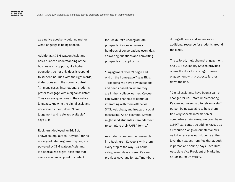as a native speaker would, no matter what language is being spoken.

Additionally, IBM Watson Assistant has a nuanced understanding of the businesses it supports, like higher education, so not only does it respond to student inquiries with the right words, it also does so in the correct context. "In many cases, international students prefer to engage with a digital assistant. They can ask questions in their native language, knowing the digital assistant understands them, doesn't cast judgement and is always available," says Bills.

Rockhurst deployed an EduBot, known colloquially as "Kaycee," for its undergraduate programs. Kaycee, also powered by IBM Watson Assistant, is a specialized digital assistant that serves as a crucial point of contact

for Rockhurst's undergraduate prospects. Kaycee engages in hundreds of conversations every day, answering questions and converting prospects into applicants.

"Engagement doesn't begin and end on the home page," says Bills. "Prospects will have new questions and needs based on where they are in their college journey. Kaycee can switch channels to continue interacting with them offline via SMS, web chats, and in-app or social messaging. As an example, Kaycee might send students a reminder text to complete their FAFSA forms."

As students deepen their research into Rockhurst, Kaycee is with them every step of the way—24 hours a day, seven days a week. Kaycee provides coverage for staff members during off hours and serves as an additional resource for students around the clock.

The tailored, multichannel engagement and 24/7 availability Kaycee provides opens the door for strategic human engagement with prospects further down the line.

"Digital assistants have been a gamechanger for us. Before implementing Kaycee, our users had to rely on a staff person being available to help them find very specific information or complete certain forms. We don't have a 24/7 call center, so adding Kaycee as a resource alongside our staff allows us to better serve our students at the level they expect from Rockhurst, both in person and online," says Dave Hunt, Associate Vice President of Marketing at Rockhurst University.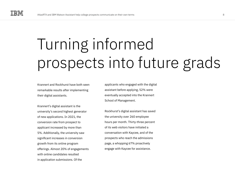## Turning informed prospects into future grads

Krannert and Rockhurst have both seen remarkable results after implementing their digital assistants.

Krannert's digital assistant is the university's second highest generator of new applications. In 2021, the conversion rate from prospect to applicant increased by more than 5%. Additionally, the university saw significant increases in conversion growth from its online program offerings. Almost 20% of engagements with online candidates resulted in application submissions. Of the

applicants who engaged with the digital assistant before applying, 52% were eventually accepted into the Krannert School of Management.

Rockhurst's digital assistant has saved the university over 260 employee hours per month. Thirty-three percent of its web visitors have initiated a conversation with Kaycee, and of the prospects who reach the admissions page, a whopping 67% proactively engage with Kaycee for assistance.